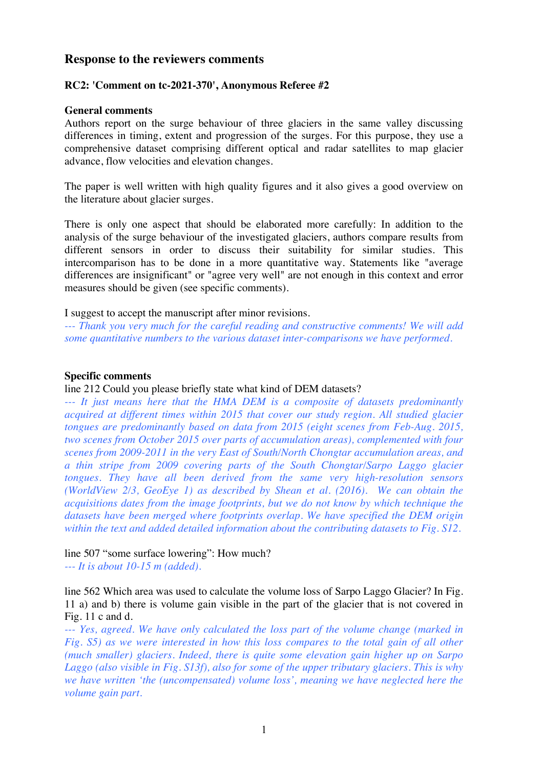## **Response to the reviewers comments**

## **RC2: 'Comment on tc-2021-370', Anonymous Referee #2**

#### **General comments**

Authors report on the surge behaviour of three glaciers in the same valley discussing differences in timing, extent and progression of the surges. For this purpose, they use a comprehensive dataset comprising different optical and radar satellites to map glacier advance, flow velocities and elevation changes.

The paper is well written with high quality figures and it also gives a good overview on the literature about glacier surges.

There is only one aspect that should be elaborated more carefully: In addition to the analysis of the surge behaviour of the investigated glaciers, authors compare results from different sensors in order to discuss their suitability for similar studies. This intercomparison has to be done in a more quantitative way. Statements like "average differences are insignificant" or "agree very well" are not enough in this context and error measures should be given (see specific comments).

I suggest to accept the manuscript after minor revisions.

*--- Thank you very much for the careful reading and constructive comments! We will add some quantitative numbers to the various dataset inter-comparisons we have performed.* 

#### **Specific comments**

#### line 212 Could you please briefly state what kind of DEM datasets?

*--- It just means here that the HMA DEM is a composite of datasets predominantly acquired at different times within 2015 that cover our study region. All studied glacier tongues are predominantly based on data from 2015 (eight scenes from Feb-Aug. 2015, two scenes from October 2015 over parts of accumulation areas), complemented with four scenes from 2009-2011 in the very East of South/North Chongtar accumulation areas, and a thin stripe from 2009 covering parts of the South Chongtar/Sarpo Laggo glacier tongues. They have all been derived from the same very high-resolution sensors (WorldView 2/3, GeoEye 1) as described by Shean et al. (2016). We can obtain the acquisitions dates from the image footprints, but we do not know by which technique the datasets have been merged where footprints overlap. We have specified the DEM origin within the text and added detailed information about the contributing datasets to Fig. S12.*

# line 507 "some surface lowering": How much?

*--- It is about 10-15 m (added).*

line 562 Which area was used to calculate the volume loss of Sarpo Laggo Glacier? In Fig. 11 a) and b) there is volume gain visible in the part of the glacier that is not covered in Fig. 11 c and d.

*--- Yes, agreed. We have only calculated the loss part of the volume change (marked in Fig. S5) as we were interested in how this loss compares to the total gain of all other (much smaller) glaciers. Indeed, there is quite some elevation gain higher up on Sarpo Laggo (also visible in Fig. S13f), also for some of the upper tributary glaciers. This is why we have written 'the (uncompensated) volume loss', meaning we have neglected here the volume gain part.*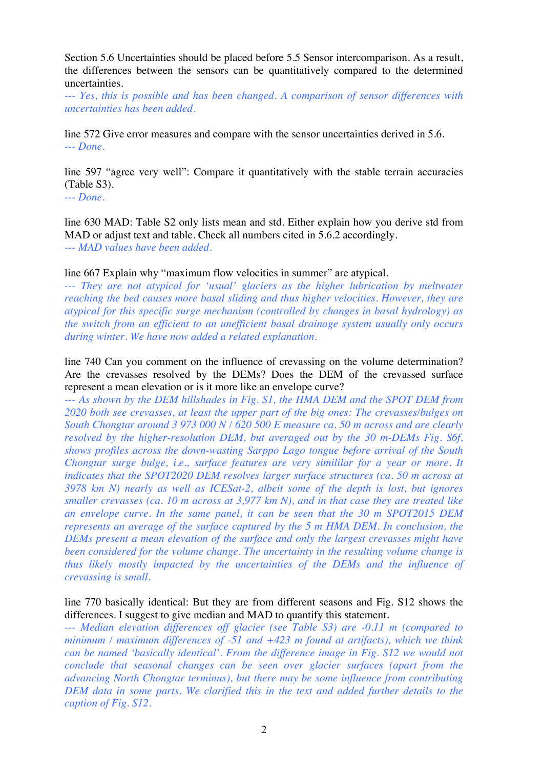Section 5.6 Uncertainties should be placed before 5.5 Sensor intercomparison. As a result, the differences between the sensors can be quantitatively compared to the determined uncertainties.

*--- Yes, this is possible and has been changed. A comparison of sensor differences with uncertainties has been added.*

line 572 Give error measures and compare with the sensor uncertainties derived in 5.6. *--- Done.*

line 597 "agree very well": Compare it quantitatively with the stable terrain accuracies (Table S3).

*--- Done.*

line 630 MAD: Table S2 only lists mean and std. Either explain how you derive std from MAD or adjust text and table. Check all numbers cited in 5.6.2 accordingly. *--- MAD values have been added.*

line 667 Explain why "maximum flow velocities in summer" are atypical.

*--- They are not atypical for 'usual' glaciers as the higher lubrication by meltwater reaching the bed causes more basal sliding and thus higher velocities. However, they are atypical for this specific surge mechanism (controlled by changes in basal hydrology) as the switch from an efficient to an unefficient basal drainage system usually only occurs during winter. We have now added a related explanation.*

line 740 Can you comment on the influence of crevassing on the volume determination? Are the crevasses resolved by the DEMs? Does the DEM of the crevassed surface represent a mean elevation or is it more like an envelope curve?

*--- As shown by the DEM hillshades in Fig. S1, the HMA DEM and the SPOT DEM from 2020 both see crevasses, at least the upper part of the big ones: The crevasses/bulges on South Chongtar around 3 973 000 N / 620 500 E measure ca. 50 m across and are clearly resolved by the higher-resolution DEM, but averaged out by the 30 m-DEMs Fig. S6f, shows profiles across the down-wasting Sarppo Lago tongue before arrival of the South Chongtar surge bulge, i.e., surface features are very simililar for a year or more. It indicates that the SPOT2020 DEM resolves larger surface structures (ca. 50 m across at 3978 km N) nearly as well as ICESat-2, albeit some of the depth is lost, but ignores smaller crevasses (ca. 10 m across at 3,977 km N), and in that case they are treated like an envelope curve. In the same panel, it can be seen that the 30 m SPOT2015 DEM represents an average of the surface captured by the 5 m HMA DEM. In conclusion, the DEMs present a mean elevation of the surface and only the largest crevasses might have been considered for the volume change. The uncertainty in the resulting volume change is thus likely mostly impacted by the uncertainties of the DEMs and the influence of crevassing is small.*

line 770 basically identical: But they are from different seasons and Fig. S12 shows the differences. I suggest to give median and MAD to quantify this statement.

*--- Median elevation differences off glacier (see Table S3) are -0.11 m (compared to minimum / maximum differences of -51 and +423 m found at artifacts), which we think can be named 'basically identical'. From the difference image in Fig. S12 we would not conclude that seasonal changes can be seen over glacier surfaces (apart from the advancing North Chongtar terminus), but there may be some influence from contributing DEM data in some parts. We clarified this in the text and added further details to the caption of Fig. S12.*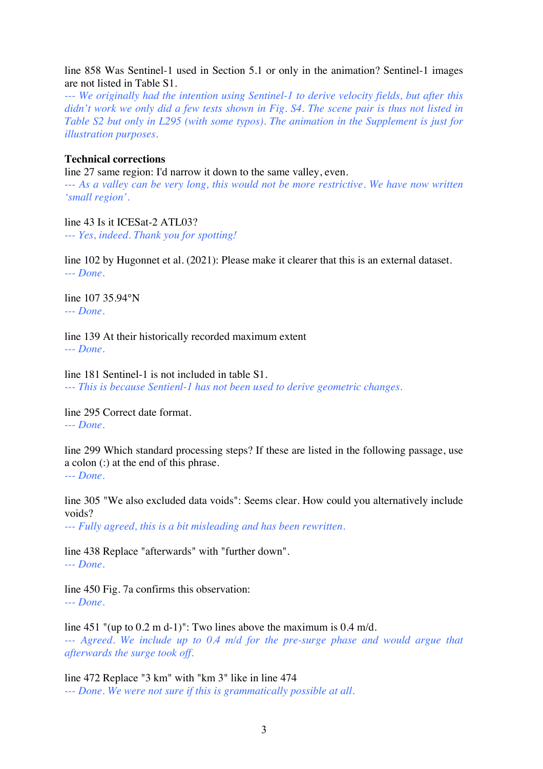line 858 Was Sentinel-1 used in Section 5.1 or only in the animation? Sentinel-1 images are not listed in Table S1.

*--- We originally had the intention using Sentinel-1 to derive velocity fields, but after this didn't work we only did a few tests shown in Fig. S4. The scene pair is thus not listed in Table S2 but only in L295 (with some typos). The animation in the Supplement is just for illustration purposes.*

## **Technical corrections**

line 27 same region: I'd narrow it down to the same valley, even.

*--- As a valley can be very long, this would not be more restrictive. We have now written 'small region'.*

line 43 Is it ICESat-2 ATL03? *--- Yes, indeed. Thank you for spotting!*

line 102 by Hugonnet et al. (2021): Please make it clearer that this is an external dataset. *--- Done.*

line 107 35.94°N *--- Done.*

line 139 At their historically recorded maximum extent *--- Done.*

line 181 Sentinel-1 is not included in table S1. *--- This is because Sentienl-1 has not been used to derive geometric changes.*

line 295 Correct date format. *--- Done.*

line 299 Which standard processing steps? If these are listed in the following passage, use a colon (:) at the end of this phrase. *--- Done.*

line 305 "We also excluded data voids": Seems clear. How could you alternatively include voids?

*--- Fully agreed, this is a bit misleading and has been rewritten.*

line 438 Replace "afterwards" with "further down". *--- Done.*

line 450 Fig. 7a confirms this observation: *--- Done.*

line 451 "(up to 0.2 m d-1)": Two lines above the maximum is 0.4 m/d. --- *Agreed.* We include up to 0.4 m/d for the pre-surge phase and would argue that *afterwards the surge took off.*

line 472 Replace "3 km" with "km 3" like in line 474 *--- Done. We were not sure if this is grammatically possible at all.*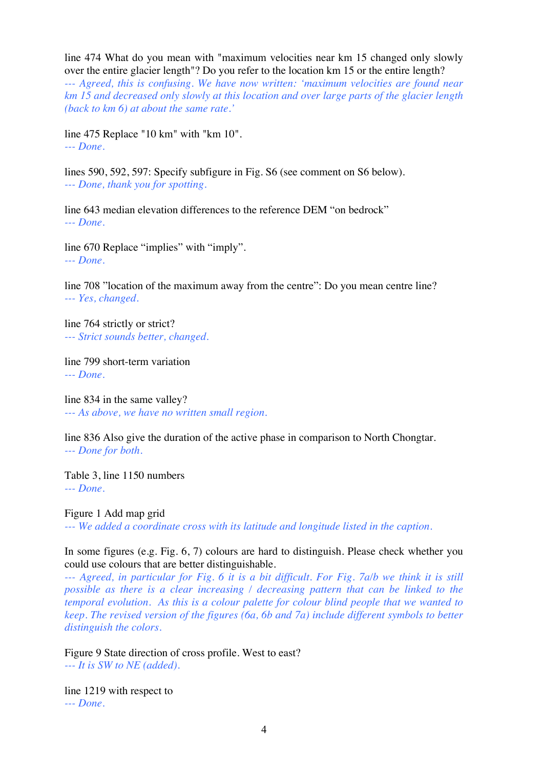line 474 What do you mean with "maximum velocities near km 15 changed only slowly over the entire glacier length"? Do you refer to the location km 15 or the entire length?

*--- Agreed, this is confusing. We have now written: 'maximum velocities are found near km 15 and decreased only slowly at this location and over large parts of the glacier length (back to km 6) at about the same rate.'*

line 475 Replace "10 km" with "km 10". *--- Done.*

lines 590, 592, 597: Specify subfigure in Fig. S6 (see comment on S6 below). *--- Done, thank you for spotting.*

line 643 median elevation differences to the reference DEM "on bedrock" *--- Done.*

line 670 Replace "implies" with "imply". *--- Done.*

line 708 "location of the maximum away from the centre": Do you mean centre line? *--- Yes, changed.*

line 764 strictly or strict? *--- Strict sounds better, changed.*

line 799 short-term variation *--- Done.*

line 834 in the same valley? *--- As above, we have no written small region.*

line 836 Also give the duration of the active phase in comparison to North Chongtar. *--- Done for both.*

Table 3, line 1150 numbers *--- Done.*

Figure 1 Add map grid *--- We added a coordinate cross with its latitude and longitude listed in the caption.*

In some figures (e.g. Fig. 6, 7) colours are hard to distinguish. Please check whether you could use colours that are better distinguishable.

*--- Agreed, in particular for Fig. 6 it is a bit difficult. For Fig. 7a/b we think it is still possible as there is a clear increasing / decreasing pattern that can be linked to the temporal evolution. As this is a colour palette for colour blind people that we wanted to keep. The revised version of the figures (6a, 6b and 7a) include different symbols to better distinguish the colors.*

Figure 9 State direction of cross profile. West to east? *--- It is SW to NE (added).*

line 1219 with respect to *--- Done.*